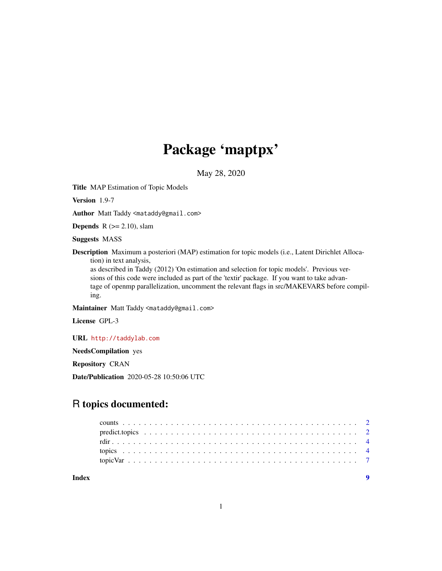## Package 'maptpx'

May 28, 2020

Title MAP Estimation of Topic Models

Version 1.9-7

Author Matt Taddy <mataddy@gmail.com>

**Depends** R  $(>= 2.10)$ , slam

Suggests MASS

Description Maximum a posteriori (MAP) estimation for topic models (i.e., Latent Dirichlet Allocation) in text analysis,

as described in Taddy (2012) 'On estimation and selection for topic models'. Previous versions of this code were included as part of the 'textir' package. If you want to take advantage of openmp parallelization, uncomment the relevant flags in src/MAKEVARS before compiling.

Maintainer Matt Taddy <mataddy@gmail.com>

License GPL-3

URL <http://taddylab.com>

NeedsCompilation yes

Repository CRAN

Date/Publication 2020-05-28 10:50:06 UTC

### R topics documented:

| Index |  |  |  |  |  |  |  |  |  |  |  |  |  |  |  |  |  |  |  |
|-------|--|--|--|--|--|--|--|--|--|--|--|--|--|--|--|--|--|--|--|
|       |  |  |  |  |  |  |  |  |  |  |  |  |  |  |  |  |  |  |  |
|       |  |  |  |  |  |  |  |  |  |  |  |  |  |  |  |  |  |  |  |
|       |  |  |  |  |  |  |  |  |  |  |  |  |  |  |  |  |  |  |  |
|       |  |  |  |  |  |  |  |  |  |  |  |  |  |  |  |  |  |  |  |
|       |  |  |  |  |  |  |  |  |  |  |  |  |  |  |  |  |  |  |  |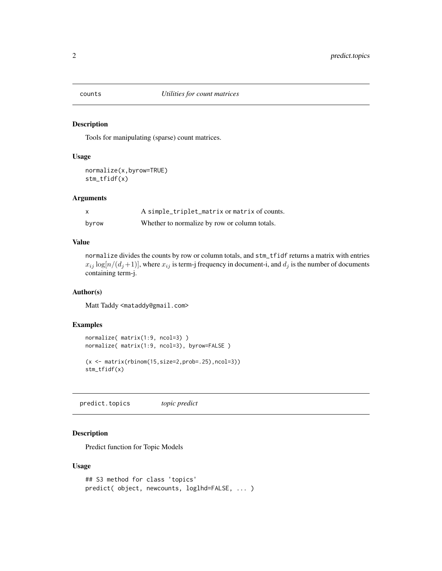<span id="page-1-0"></span>

#### Description

Tools for manipulating (sparse) count matrices.

#### Usage

```
normalize(x,byrow=TRUE)
stm_tfidf(x)
```
#### Arguments

| X     | A simple_triplet_matrix or matrix of counts.  |
|-------|-----------------------------------------------|
| byrow | Whether to normalize by row or column totals. |

#### Value

normalize divides the counts by row or column totals, and stm\_tfidf returns a matrix with entries  $x_{ij}$  log[ $n/(d_j+1)$ ], where  $x_{ij}$  is term-j frequency in document-i, and  $d_j$  is the number of documents containing term-j.

#### Author(s)

Matt Taddy <mataddy@gmail.com>

#### Examples

```
normalize( matrix(1:9, ncol=3) )
normalize( matrix(1:9, ncol=3), byrow=FALSE )
(x \leq -\text{matrix}(\text{rbinom}(15,\text{size=2},\text{prob=}.25),\text{ncol=3}))stm_tfidf(x)
```
predict.topics *topic predict*

#### Description

Predict function for Topic Models

#### Usage

```
## S3 method for class 'topics'
predict( object, newcounts, loglhd=FALSE, ... )
```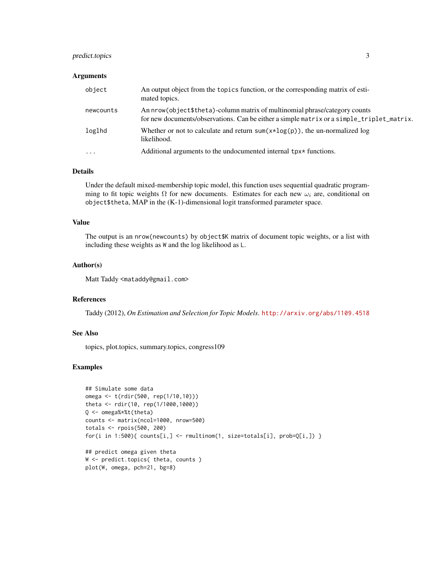#### predict.topics 3

#### Arguments

| object    | An output object from the topics function, or the corresponding matrix of esti-<br>mated topics.                                                                         |
|-----------|--------------------------------------------------------------------------------------------------------------------------------------------------------------------------|
| newcounts | An nrow(object \$theta)-column matrix of multinomial phrase/category counts<br>for new documents/observations. Can be either a simple matrix or a simple_triplet_matrix. |
| loglhd    | Whether or not to calculate and return sum( $x \star log(p)$ ), the un-normalized log<br>likelihood.                                                                     |
| $\ddotsc$ | Additional arguments to the undocumented internal tpx* functions.                                                                                                        |

#### Details

Under the default mixed-membership topic model, this function uses sequential quadratic programming to fit topic weights  $\Omega$  for new documents. Estimates for each new  $\omega_i$  are, conditional on object\$theta, MAP in the (K-1)-dimensional logit transformed parameter space.

#### Value

The output is an nrow(newcounts) by object\$K matrix of document topic weights, or a list with including these weights as W and the log likelihood as L.

#### Author(s)

Matt Taddy <mataddy@gmail.com>

#### References

Taddy (2012), *On Estimation and Selection for Topic Models*. <http://arxiv.org/abs/1109.4518>

#### See Also

topics, plot.topics, summary.topics, congress109

#### Examples

```
## Simulate some data
omega <- t(rdir(500, rep(1/10,10)))
theta <- rdir(10, rep(1/1000,1000))
Q <- omega%*%t(theta)
counts <- matrix(ncol=1000, nrow=500)
totals <- rpois(500, 200)
for(i in 1:500){ counts[i,] <- rmultinom(1, size=totals[i], prob=Q[i,]) }
## predict omega given theta
```

```
W <- predict.topics( theta, counts )
plot(W, omega, pch=21, bg=8)
```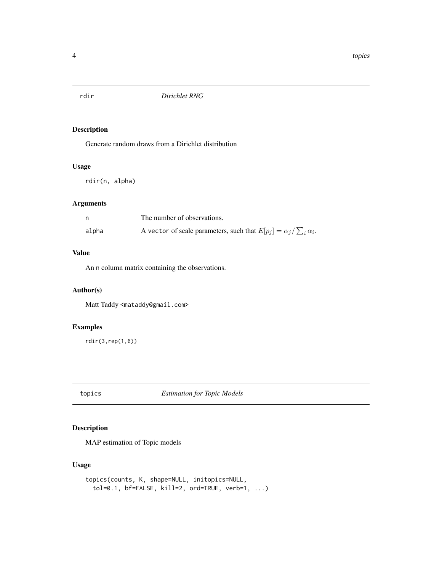.

#### <span id="page-3-0"></span>rdir *Dirichlet RNG*

#### Description

Generate random draws from a Dirichlet distribution

#### Usage

rdir(n, alpha)

#### Arguments

|       | The number of observations.                                                   |
|-------|-------------------------------------------------------------------------------|
| alpha | A vector of scale parameters, such that $E[p_j] = \alpha_j / \sum_i \alpha_i$ |

#### Value

An n column matrix containing the observations.

#### Author(s)

Matt Taddy <mataddy@gmail.com>

#### Examples

rdir(3,rep(1,6))

topics *Estimation for Topic Models*

#### Description

MAP estimation of Topic models

#### Usage

```
topics(counts, K, shape=NULL, initopics=NULL,
  tol=0.1, bf=FALSE, kill=2, ord=TRUE, verb=1, ...)
```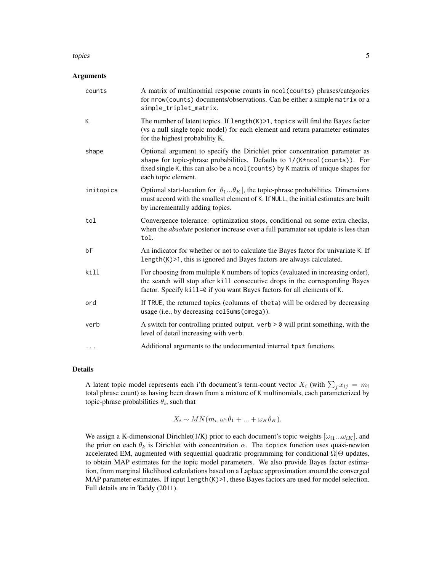#### topics 5

#### Arguments

| counts    | A matrix of multinomial response counts in ncol(counts) phrases/categories<br>for nrow(counts) documents/observations. Can be either a simple matrix or a<br>simple_triplet_matrix.                                                                                  |
|-----------|----------------------------------------------------------------------------------------------------------------------------------------------------------------------------------------------------------------------------------------------------------------------|
| К         | The number of latent topics. If $length(K) > 1$ , topics will find the Bayes factor<br>(vs a null single topic model) for each element and return parameter estimates<br>for the highest probability K.                                                              |
| shape     | Optional argument to specify the Dirichlet prior concentration parameter as<br>shape for topic-phrase probabilities. Defaults to 1/(K*ncol(counts)). For<br>fixed single K, this can also be a ncol (counts) by K matrix of unique shapes for<br>each topic element. |
| initopics | Optional start-location for $[\theta_1\theta_K]$ , the topic-phrase probabilities. Dimensions<br>must accord with the smallest element of K. If NULL, the initial estimates are built<br>by incrementally adding topics.                                             |
| tol       | Convergence tolerance: optimization stops, conditional on some extra checks,<br>when the <i>absolute</i> posterior increase over a full paramater set update is less than<br>tol.                                                                                    |
| bf        | An indicator for whether or not to calculate the Bayes factor for univariate K. If<br>length(K)>1, this is ignored and Bayes factors are always calculated.                                                                                                          |
| kill      | For choosing from multiple K numbers of topics (evaluated in increasing order),<br>the search will stop after kill consecutive drops in the corresponding Bayes<br>factor. Specify kill=0 if you want Bayes factors for all elements of K.                           |
| ord       | If TRUE, the returned topics (columns of theta) will be ordered by decreasing<br>usage (i.e., by decreasing colSums (omega)).                                                                                                                                        |
| verb      | A switch for controlling printed output. $verb > 0 will print something, with the$<br>level of detail increasing with verb.                                                                                                                                          |
| .         | Additional arguments to the undocumented internal tpx* functions.                                                                                                                                                                                                    |

#### Details

A latent topic model represents each i'th document's term-count vector  $X_i$  (with  $\sum_j x_{ij} = m_i$ total phrase count) as having been drawn from a mixture of K multinomials, each parameterized by topic-phrase probabilities  $\theta_i$ , such that

$$
X_i \sim MN(m_i, \omega_1 \theta_1 + \dots + \omega_K \theta_K).
$$

We assign a K-dimensional Dirichlet(1/K) prior to each document's topic weights  $[\omega_{i1}...\omega_{iK}]$ , and the prior on each  $\theta_k$  is Dirichlet with concentration  $\alpha$ . The topics function uses quasi-newton accelerated EM, augmented with sequential quadratic programming for conditional  $\Omega|\Theta$  updates, to obtain MAP estimates for the topic model parameters. We also provide Bayes factor estimation, from marginal likelihood calculations based on a Laplace approximation around the converged MAP parameter estimates. If input length(K)>1, these Bayes factors are used for model selection. Full details are in Taddy (2011).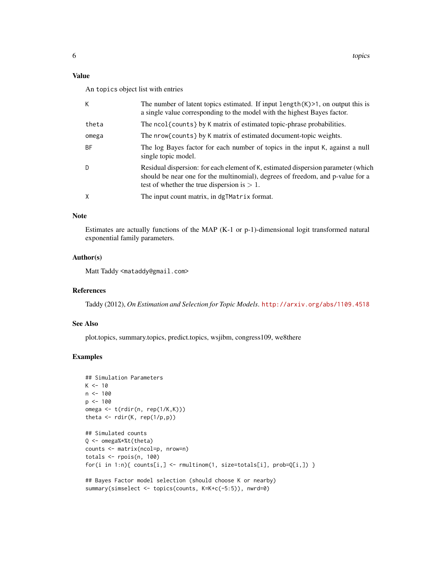#### Value

An topics object list with entries

| К         | The number of latent topics estimated. If input $length(K) > 1$ , on output this is<br>a single value corresponding to the model with the highest Bayes factor.                                                       |
|-----------|-----------------------------------------------------------------------------------------------------------------------------------------------------------------------------------------------------------------------|
| theta     | The ncol{counts} by K matrix of estimated topic-phrase probabilities.                                                                                                                                                 |
| omega     | The nrow{counts} by K matrix of estimated document-topic weights.                                                                                                                                                     |
| <b>BF</b> | The log Bayes factor for each number of topics in the input K, against a null<br>single topic model.                                                                                                                  |
| D         | Residual dispersion: for each element of K, estimated dispersion parameter (which<br>should be near one for the multinomial), degrees of freedom, and p-value for a<br>test of whether the true dispersion is $> 1$ . |
| X         | The input count matrix, in dgTMatrix format.                                                                                                                                                                          |

#### Note

Estimates are actually functions of the MAP (K-1 or p-1)-dimensional logit transformed natural exponential family parameters.

#### Author(s)

Matt Taddy <mataddy@gmail.com>

#### References

Taddy (2012), *On Estimation and Selection for Topic Models*. <http://arxiv.org/abs/1109.4518>

#### See Also

plot.topics, summary.topics, predict.topics, wsjibm, congress109, we8there

#### Examples

```
## Simulation Parameters
K < -10n < -100p <- 100
omega <- t(rdir(n, rep(1/K,K)))
theta \leftarrow rdir(K, rep(1/p,p))
## Simulated counts
Q <- omega%*%t(theta)
counts <- matrix(ncol=p, nrow=n)
totals \leq rpois(n, 100)
for(i in 1:n){ counts[i,] <- rmultinom(1, size=totals[i], prob=Q[i,]) }
## Bayes Factor model selection (should choose K or nearby)
summary(simselect <- topics(counts, K=K+c(-5:5)), nwrd=0)
```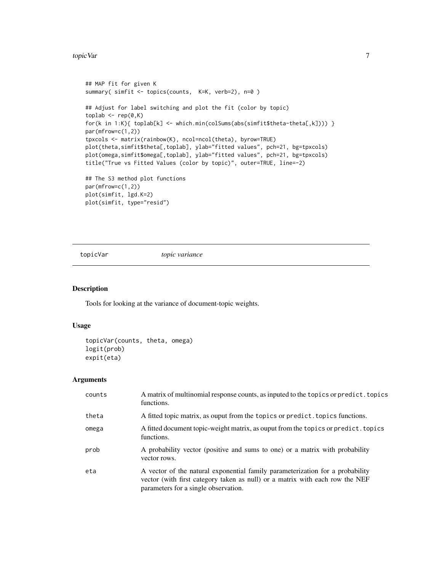<span id="page-6-0"></span>topic Var 700 - 100 km i 100 km i 100 km i 100 km i 100 km i 100 km i 100 km i 100 km i 100 km i 100 km i 100

```
## MAP fit for given K
summary( simfit <- topics(counts, K=K, verb=2), n=0 )
## Adjust for label switching and plot the fit (color by topic)
toplab \leftarrow rep(0,K)for(k in 1:K){ toplab[k] <- which.min(colSums(abs(simfit$theta-theta[,k]))) }
par(mfrow=c(1,2))
tpxcols <- matrix(rainbow(K), ncol=ncol(theta), byrow=TRUE)
plot(theta,simfit$theta[,toplab], ylab="fitted values", pch=21, bg=tpxcols)
plot(omega,simfit$omega[,toplab], ylab="fitted values", pch=21, bg=tpxcols)
title("True vs Fitted Values (color by topic)", outer=TRUE, line=-2)
## The S3 method plot functions
par(mfrow=c(1,2))
plot(simfit, lgd.K=2)
```
topicVar *topic variance*

#### Description

Tools for looking at the variance of document-topic weights.

#### Usage

```
topicVar(counts, theta, omega)
logit(prob)
expit(eta)
```
plot(simfit, type="resid")

#### Arguments

| counts | A matrix of multinomial response counts, as inputed to the topics or predict. topics<br>functions.                                                                                                    |
|--------|-------------------------------------------------------------------------------------------------------------------------------------------------------------------------------------------------------|
| theta  | A fitted topic matrix, as ouput from the topics or predict. topics functions.                                                                                                                         |
| omega  | A fitted document topic-weight matrix, as ouput from the topics or predict. topics<br>functions.                                                                                                      |
| prob   | A probability vector (positive and sums to one) or a matrix with probability<br>vector rows.                                                                                                          |
| eta    | A vector of the natural exponential family parameterization for a probability<br>vector (with first category taken as null) or a matrix with each row the NEF<br>parameters for a single observation. |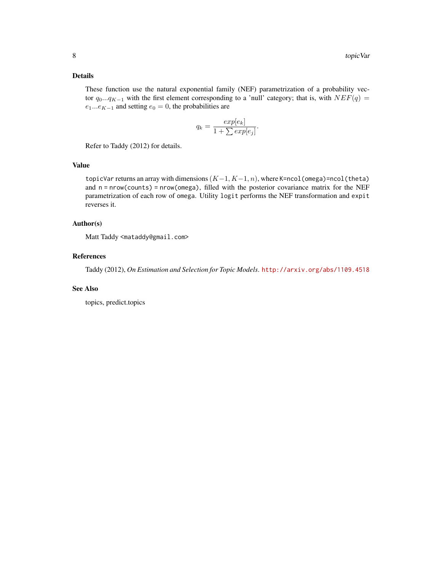#### Details

These function use the natural exponential family (NEF) parametrization of a probability vector  $q_0...q_{K-1}$  with the first element corresponding to a 'null' category; that is, with  $NEF(q)$  =  $e_1...e_{K-1}$  and setting  $e_0 = 0$ , the probabilities are

$$
q_k = \frac{exp[e_k]}{1 + \sum exp[e_j]}.
$$

Refer to Taddy (2012) for details.

#### Value

topicVar returns an array with dimensions  $(K-1, K-1, n)$ , where K=ncol(omega)=ncol(theta) and  $n = nrow(counts) = nrow(omega, film)$ , filled with the posterior covariance matrix for the NEF parametrization of each row of omega. Utility logit performs the NEF transformation and expit reverses it.

#### Author(s)

Matt Taddy <mataddy@gmail.com>

#### References

Taddy (2012), *On Estimation and Selection for Topic Models*. <http://arxiv.org/abs/1109.4518>

#### See Also

topics, predict.topics